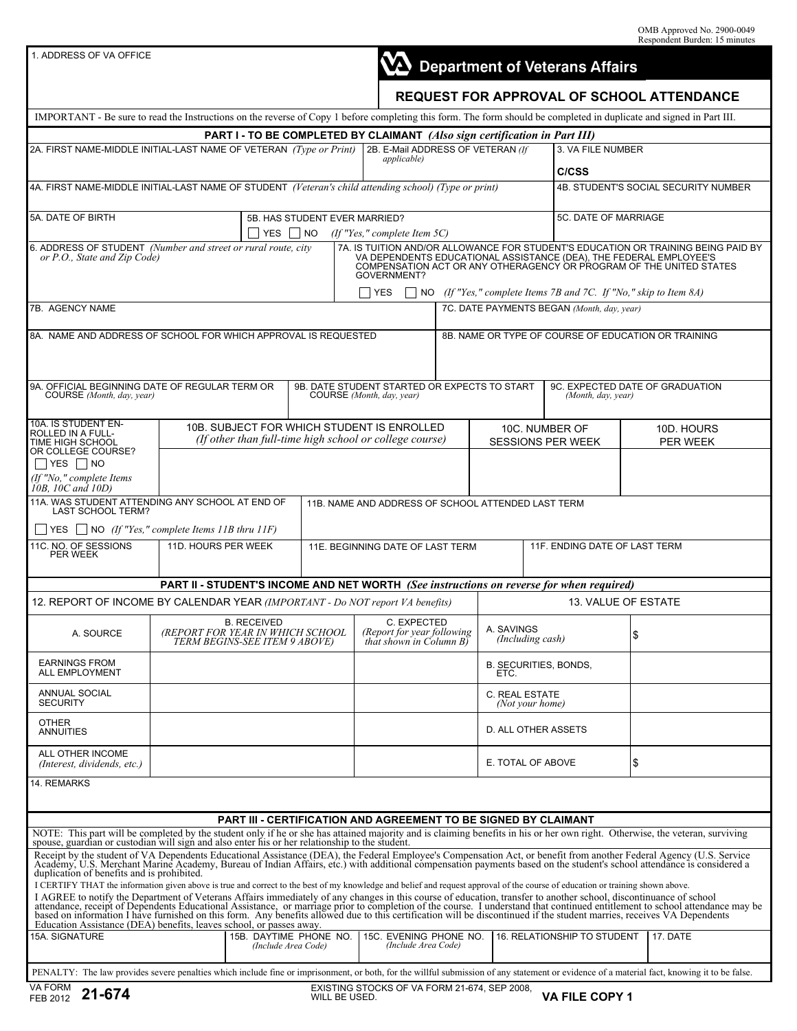1. ADDRESS OF VA OFFICE

|  | NA Department of Veterans Affairs |
|--|-----------------------------------|
|  |                                   |

# **REQUEST FOR APPROVAL OF SCHOOL ATTENDANCE**

| IMPORTANT - Be sure to read the Instructions on the reverse of Copy 1 before completing this form. The form should be completed in duplicate and signed in Part III.                                                                                                                                                                                                                                                                                                                                          |                                                                                         |                                                          |                                                                                                       |               |                                                                            |                   |                                            |                                                                                          |                                                       |          |  |
|---------------------------------------------------------------------------------------------------------------------------------------------------------------------------------------------------------------------------------------------------------------------------------------------------------------------------------------------------------------------------------------------------------------------------------------------------------------------------------------------------------------|-----------------------------------------------------------------------------------------|----------------------------------------------------------|-------------------------------------------------------------------------------------------------------|---------------|----------------------------------------------------------------------------|-------------------|--------------------------------------------|------------------------------------------------------------------------------------------|-------------------------------------------------------|----------|--|
|                                                                                                                                                                                                                                                                                                                                                                                                                                                                                                               |                                                                                         |                                                          |                                                                                                       |               | PART I - TO BE COMPLETED BY CLAIMANT (Also sign certification in Part III) |                   |                                            |                                                                                          |                                                       |          |  |
| 2A. FIRST NAME-MIDDLE INITIAL-LAST NAME OF VETERAN (Type or Print)                                                                                                                                                                                                                                                                                                                                                                                                                                            |                                                                                         | 2B. E-Mail ADDRESS OF VETERAN (If<br><i>applicable</i> ) |                                                                                                       |               |                                                                            | 3. VA FILE NUMBER |                                            |                                                                                          |                                                       |          |  |
|                                                                                                                                                                                                                                                                                                                                                                                                                                                                                                               |                                                                                         |                                                          |                                                                                                       |               |                                                                            |                   |                                            | C/CSS                                                                                    |                                                       |          |  |
| 4A. FIRST NAME-MIDDLE INITIAL-LAST NAME OF STUDENT (Veteran's child attending school) (Type or print)<br>4B. STUDENT'S SOCIAL SECURITY NUMBER                                                                                                                                                                                                                                                                                                                                                                 |                                                                                         |                                                          |                                                                                                       |               |                                                                            |                   |                                            |                                                                                          |                                                       |          |  |
| <b>5A. DATE OF BIRTH</b><br>5B. HAS STUDENT EVER MARRIED?<br>YES  <br> NO                                                                                                                                                                                                                                                                                                                                                                                                                                     |                                                                                         |                                                          |                                                                                                       |               | (If "Yes," complete Item 5C)                                               |                   |                                            |                                                                                          | 5C. DATE OF MARRIAGE                                  |          |  |
| 6. ADDRESS OF STUDENT (Number and street or rural route, city<br>7A. IS TUITION AND/OR ALLOWANCE FOR STUDENT'S EDUCATION OR TRAINING BEING PAID BY<br>or P.O., State and Zip Code)<br>VA DEPENDENTS EDUCATIONAL ASSISTANCE (DEA), THE FEDERAL EMPLOYEE'S<br>COMPENSATION ACT OR ANY OTHERAGENCY OR PROGRAM OF THE UNITED STATES<br>GOVERNMENT?                                                                                                                                                                |                                                                                         |                                                          |                                                                                                       |               |                                                                            |                   |                                            |                                                                                          |                                                       |          |  |
| $\Box$ NO (If "Yes," complete Items 7B and 7C. If "No," skip to Item 8A)<br><b>YES</b>                                                                                                                                                                                                                                                                                                                                                                                                                        |                                                                                         |                                                          |                                                                                                       |               |                                                                            |                   |                                            |                                                                                          |                                                       |          |  |
| 7B. AGENCY NAME<br>7C. DATE PAYMENTS BEGAN (Month, day, year)                                                                                                                                                                                                                                                                                                                                                                                                                                                 |                                                                                         |                                                          |                                                                                                       |               |                                                                            |                   |                                            |                                                                                          |                                                       |          |  |
| 8A. NAME AND ADDRESS OF SCHOOL FOR WHICH APPROVAL IS REQUESTED<br>8B. NAME OR TYPE OF COURSE OF EDUCATION OR TRAINING                                                                                                                                                                                                                                                                                                                                                                                         |                                                                                         |                                                          |                                                                                                       |               |                                                                            |                   |                                            |                                                                                          |                                                       |          |  |
| 9A. OFFICIAL BEGINNING DATE OF REGULAR TERM OR<br>COURSE (Month, day, year)                                                                                                                                                                                                                                                                                                                                                                                                                                   |                                                                                         |                                                          |                                                                                                       |               | 9B. DATE STUDENT STARTED OR EXPECTS TO START<br>COURSE (Month, day, year)  |                   |                                            |                                                                                          | 9C. EXPECTED DATE OF GRADUATION<br>(Month, day, year) |          |  |
| 10A. IS STUDENT EN-<br>ROLLED IN A FULL-<br>TIME HIGH SCHOOL<br>OR COLLEGE COURSE?                                                                                                                                                                                                                                                                                                                                                                                                                            |                                                                                         |                                                          | 10B. SUBJECT FOR WHICH STUDENT IS ENROLLED<br>(If other than full-time high school or college course) |               |                                                                            |                   | 10C. NUMBER OF<br><b>SESSIONS PER WEEK</b> |                                                                                          | 10D. HOURS<br>PER WEEK                                |          |  |
| $\top$ YES $\Box$ NO                                                                                                                                                                                                                                                                                                                                                                                                                                                                                          |                                                                                         |                                                          |                                                                                                       |               |                                                                            |                   |                                            |                                                                                          |                                                       |          |  |
| (If "No," complete Items<br>10B, 10C and 10D)                                                                                                                                                                                                                                                                                                                                                                                                                                                                 |                                                                                         |                                                          |                                                                                                       |               |                                                                            |                   |                                            |                                                                                          |                                                       |          |  |
| 11A. WAS STUDENT ATTENDING ANY SCHOOL AT END OF<br>11B. NAME AND ADDRESS OF SCHOOL ATTENDED LAST TERM<br><b>LAST SCHOOL TERM?</b>                                                                                                                                                                                                                                                                                                                                                                             |                                                                                         |                                                          |                                                                                                       |               |                                                                            |                   |                                            |                                                                                          |                                                       |          |  |
| $YES$ NO (If "Yes," complete Items 11B thru 11F)                                                                                                                                                                                                                                                                                                                                                                                                                                                              |                                                                                         |                                                          |                                                                                                       |               |                                                                            |                   |                                            |                                                                                          |                                                       |          |  |
| 11C. NO. OF SESSIONS<br>PER WEEK                                                                                                                                                                                                                                                                                                                                                                                                                                                                              | 11D. HOURS PER WEEK                                                                     |                                                          |                                                                                                       |               | 11E. BEGINNING DATE OF LAST TERM                                           |                   |                                            | 11F. ENDING DATE OF LAST TERM                                                            |                                                       |          |  |
|                                                                                                                                                                                                                                                                                                                                                                                                                                                                                                               |                                                                                         |                                                          |                                                                                                       |               |                                                                            |                   |                                            | PART II - STUDENT'S INCOME AND NET WORTH (See instructions on reverse for when required) |                                                       |          |  |
| 13. VALUE OF ESTATE<br>12. REPORT OF INCOME BY CALENDAR YEAR (IMPORTANT - Do NOT report VA benefits)                                                                                                                                                                                                                                                                                                                                                                                                          |                                                                                         |                                                          |                                                                                                       |               |                                                                            |                   |                                            |                                                                                          |                                                       |          |  |
| A. SOURCE                                                                                                                                                                                                                                                                                                                                                                                                                                                                                                     | <b>B. RECEIVED</b><br>(REPORT FOR YEAR IN WHICH SCHOOL<br>TERM BEGINS-SEE ITEM 9 ABOVE) |                                                          |                                                                                                       |               | C. EXPECTED<br>(Report for year following<br>that shown in Column B)       |                   | A. SAVINGS<br>(Including cash)             |                                                                                          | \$                                                    |          |  |
| <b>EARNINGS FROM</b><br>ALL EMPLOYMENT                                                                                                                                                                                                                                                                                                                                                                                                                                                                        |                                                                                         |                                                          |                                                                                                       |               |                                                                            |                   | B. SECURITIES, BONDS,<br>ETC.              |                                                                                          |                                                       |          |  |
| <b>ANNUAL SOCIAL</b><br><b>SECURITY</b>                                                                                                                                                                                                                                                                                                                                                                                                                                                                       |                                                                                         |                                                          |                                                                                                       |               |                                                                            |                   | C. REAL ESTATE<br>(Not your home)          |                                                                                          |                                                       |          |  |
| <b>OTHER</b><br><b>ANNUITIES</b>                                                                                                                                                                                                                                                                                                                                                                                                                                                                              |                                                                                         |                                                          |                                                                                                       |               |                                                                            |                   | D. ALL OTHER ASSETS                        |                                                                                          |                                                       |          |  |
| ALL OTHER INCOME<br>(Interest, dividends, etc.)                                                                                                                                                                                                                                                                                                                                                                                                                                                               |                                                                                         |                                                          |                                                                                                       |               |                                                                            |                   | E. TOTAL OF ABOVE                          |                                                                                          | \$                                                    |          |  |
| 14. REMARKS                                                                                                                                                                                                                                                                                                                                                                                                                                                                                                   |                                                                                         |                                                          |                                                                                                       |               |                                                                            |                   |                                            |                                                                                          |                                                       |          |  |
|                                                                                                                                                                                                                                                                                                                                                                                                                                                                                                               |                                                                                         |                                                          |                                                                                                       |               |                                                                            |                   |                                            |                                                                                          |                                                       |          |  |
| <b>PART III - CERTIFICATION AND AGREEMENT TO BE SIGNED BY CLAIMANT</b>                                                                                                                                                                                                                                                                                                                                                                                                                                        |                                                                                         |                                                          |                                                                                                       |               |                                                                            |                   |                                            |                                                                                          |                                                       |          |  |
| NOTE: This part will be completed by the student only if he or she has attained majority and is claiming benefits in his or her own right. Otherwise, the veteran, surviving spouse, guardian or custodian will sign and also<br>Receipt by the student of VA Dependents Educational Assistance (DEA), the Federal Employee's Compensation Act, or benefit from another Federal Agency (U.S. Service Academy, U.S. Nerchant Marine Academy, Bureau of Indian Af<br>duplication of benefits and is prohibited. |                                                                                         |                                                          |                                                                                                       |               |                                                                            |                   |                                            |                                                                                          |                                                       |          |  |
| I CERTIFY THAT the information given above is true and correct to the best of my knowledge and belief and request approval of the course of education or training shown above.<br>I AGREE to notify the Department of Veterans Affairs immediately of any changes in this course of education, transfer to another school, discontinuance of school attendance, receipt of Dependents Educational Assistance, or<br>Education Assistance (DEA) benefits, leaves school, or passes away.                       |                                                                                         |                                                          |                                                                                                       |               |                                                                            |                   |                                            |                                                                                          |                                                       |          |  |
| 15A. SIGNATURE                                                                                                                                                                                                                                                                                                                                                                                                                                                                                                |                                                                                         | 15B. DAYTIME PHONE NO.                                   | (Include Area Code)                                                                                   |               | 15C. EVENING PHONE NO.<br>(Include Area Code)                              |                   |                                            | 16. RELATIONSHIP TO STUDENT                                                              |                                                       | 17. DATE |  |
| PENALTY: The law provides severe penalties which include fine or imprisonment, or both, for the willful submission of any statement or evidence of a material fact, knowing it to be false.                                                                                                                                                                                                                                                                                                                   |                                                                                         |                                                          |                                                                                                       |               |                                                                            |                   |                                            |                                                                                          |                                                       |          |  |
| VA FORM<br>21-674<br>FEB 2012                                                                                                                                                                                                                                                                                                                                                                                                                                                                                 |                                                                                         |                                                          |                                                                                                       | WILL BE USED. | EXISTING STOCKS OF VA FORM 21-674, SEP 2008,                               |                   |                                            | <b>VA FILE COPY 1</b>                                                                    |                                                       |          |  |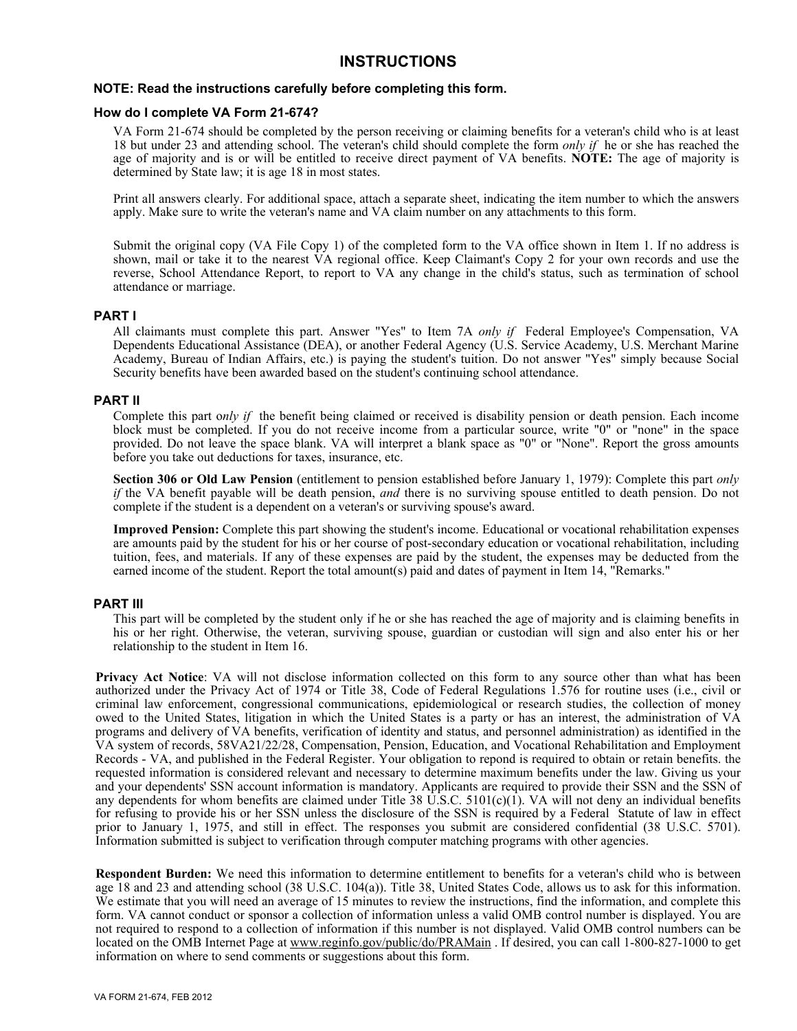# **INSTRUCTIONS**

# **NOTE: Read the instructions carefully before completing this form.**

#### **How do I complete VA Form 21-674?**

VA Form 21-674 should be completed by the person receiving or claiming benefits for a veteran's child who is at least 18 but under 23 and attending school. The veteran's child should complete the form *only if* he or she has reached the age of majority and is or will be entitled to receive direct payment of VA benefits. **NOTE:** The age of majority is determined by State law; it is age 18 in most states.

Print all answers clearly. For additional space, attach a separate sheet, indicating the item number to which the answers apply. Make sure to write the veteran's name and VA claim number on any attachments to this form.

Submit the original copy (VA File Copy 1) of the completed form to the VA office shown in Item 1. If no address is shown, mail or take it to the nearest VA regional office. Keep Claimant's Copy 2 for your own records and use the reverse, School Attendance Report, to report to VA any change in the child's status, such as termination of school attendance or marriage.

# **PART I**

All claimants must complete this part. Answer "Yes" to Item 7A *only if* Federal Employee's Compensation, VA Dependents Educational Assistance (DEA), or another Federal Agency (U.S. Service Academy, U.S. Merchant Marine Academy, Bureau of Indian Affairs, etc.) is paying the student's tuition. Do not answer "Yes" simply because Social Security benefits have been awarded based on the student's continuing school attendance.

# **PART II**

Complete this part o*nly if* the benefit being claimed or received is disability pension or death pension. Each income block must be completed. If you do not receive income from a particular source, write "0" or "none" in the space provided. Do not leave the space blank. VA will interpret a blank space as "0" or "None". Report the gross amounts before you take out deductions for taxes, insurance, etc.

**Section 306 or Old Law Pension** (entitlement to pension established before January 1, 1979): Complete this part *only if* the VA benefit payable will be death pension, *and* there is no surviving spouse entitled to death pension. Do not complete if the student is a dependent on a veteran's or surviving spouse's award.

**Improved Pension:** Complete this part showing the student's income. Educational or vocational rehabilitation expenses are amounts paid by the student for his or her course of post-secondary education or vocational rehabilitation, including tuition, fees, and materials. If any of these expenses are paid by the student, the expenses may be deducted from the earned income of the student. Report the total amount(s) paid and dates of payment in Item 14, "Remarks."

# **PART III**

This part will be completed by the student only if he or she has reached the age of majority and is claiming benefits in his or her right. Otherwise, the veteran, surviving spouse, guardian or custodian will sign and also enter his or her relationship to the student in Item 16.

**Privacy Act Notice**: VA will not disclose information collected on this form to any source other than what has been authorized under the Privacy Act of 1974 or Title 38, Code of Federal Regulations 1.576 for routine uses (i.e., civil or criminal law enforcement, congressional communications, epidemiological or research studies, the collection of money owed to the United States, litigation in which the United States is a party or has an interest, the administration of VA programs and delivery of VA benefits, verification of identity and status, and personnel administration) as identified in the VA system of records, 58VA21/22/28, Compensation, Pension, Education, and Vocational Rehabilitation and Employment Records - VA, and published in the Federal Register. Your obligation to repond is required to obtain or retain benefits. the requested information is considered relevant and necessary to determine maximum benefits under the law. Giving us your and your dependents' SSN account information is mandatory. Applicants are required to provide their SSN and the SSN of any dependents for whom benefits are claimed under Title 38 U.S.C. 5101(c)(1). VA will not deny an individual benefits for refusing to provide his or her SSN unless the disclosure of the SSN is required by a Federal Statute of law in effect prior to January 1, 1975, and still in effect. The responses you submit are considered confidential (38 U.S.C. 5701). Information submitted is subject to verification through computer matching programs with other agencies.

**Respondent Burden:** We need this information to determine entitlement to benefits for a veteran's child who is between age 18 and 23 and attending school (38 U.S.C. 104(a)). Title 38, United States Code, allows us to ask for this information. We estimate that you will need an average of 15 minutes to review the instructions, find the information, and complete this form. VA cannot conduct or sponsor a collection of information unless a valid OMB control number is displayed. You are not required to respond to a collection of information if this number is not displayed. Valid OMB control numbers can be located on the OMB Internet Page at www.reginfo.gov/public/do/PRAMain . If desired, you can call 1-800-827-1000 to get information on where to send comments or suggestions about this form.